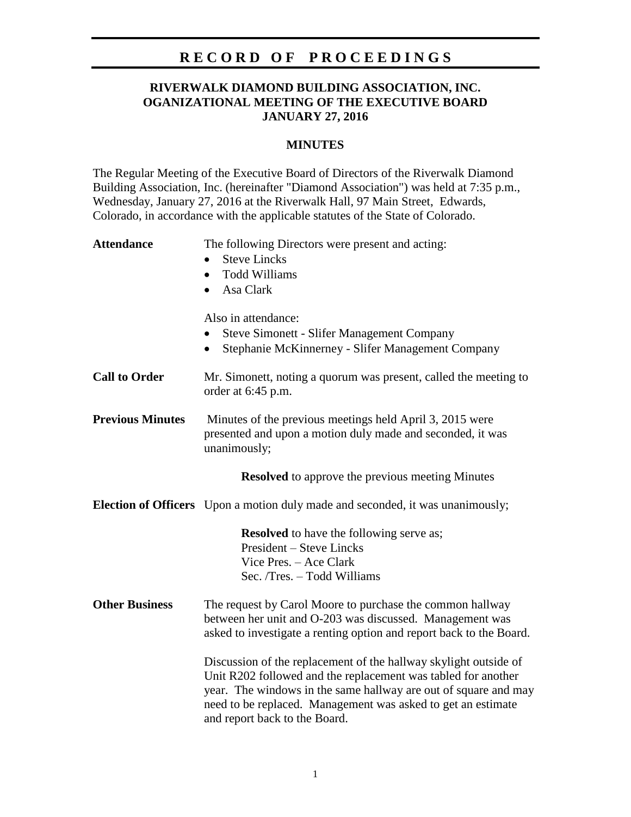## **R E C O R D O F P R O C E E D I N G S**

### **RIVERWALK DIAMOND BUILDING ASSOCIATION, INC. OGANIZATIONAL MEETING OF THE EXECUTIVE BOARD JANUARY 27, 2016**

#### **MINUTES**

The Regular Meeting of the Executive Board of Directors of the Riverwalk Diamond Building Association, Inc. (hereinafter "Diamond Association") was held at 7:35 p.m., Wednesday, January 27, 2016 at the Riverwalk Hall, 97 Main Street, Edwards, Colorado, in accordance with the applicable statutes of the State of Colorado.

| <b>Attendance</b>       | The following Directors were present and acting:<br><b>Steve Lincks</b><br><b>Todd Williams</b><br>$\bullet$<br>Asa Clark<br>$\bullet$                                                                                                                                                                |
|-------------------------|-------------------------------------------------------------------------------------------------------------------------------------------------------------------------------------------------------------------------------------------------------------------------------------------------------|
|                         | Also in attendance:<br><b>Steve Simonett - Slifer Management Company</b><br>Stephanie McKinnerney - Slifer Management Company<br>$\bullet$                                                                                                                                                            |
| <b>Call to Order</b>    | Mr. Simonett, noting a quorum was present, called the meeting to<br>order at 6:45 p.m.                                                                                                                                                                                                                |
| <b>Previous Minutes</b> | Minutes of the previous meetings held April 3, 2015 were<br>presented and upon a motion duly made and seconded, it was<br>unanimously;                                                                                                                                                                |
|                         | <b>Resolved</b> to approve the previous meeting Minutes                                                                                                                                                                                                                                               |
|                         | <b>Election of Officers</b> Upon a motion duly made and seconded, it was unanimously;                                                                                                                                                                                                                 |
|                         | <b>Resolved</b> to have the following serve as;<br><b>President – Steve Lincks</b><br>Vice Pres. - Ace Clark<br>Sec. /Tres. - Todd Williams                                                                                                                                                           |
| <b>Other Business</b>   | The request by Carol Moore to purchase the common hallway<br>between her unit and O-203 was discussed. Management was<br>asked to investigate a renting option and report back to the Board.                                                                                                          |
|                         | Discussion of the replacement of the hallway skylight outside of<br>Unit R202 followed and the replacement was tabled for another<br>year. The windows in the same hallway are out of square and may<br>need to be replaced. Management was asked to get an estimate<br>and report back to the Board. |